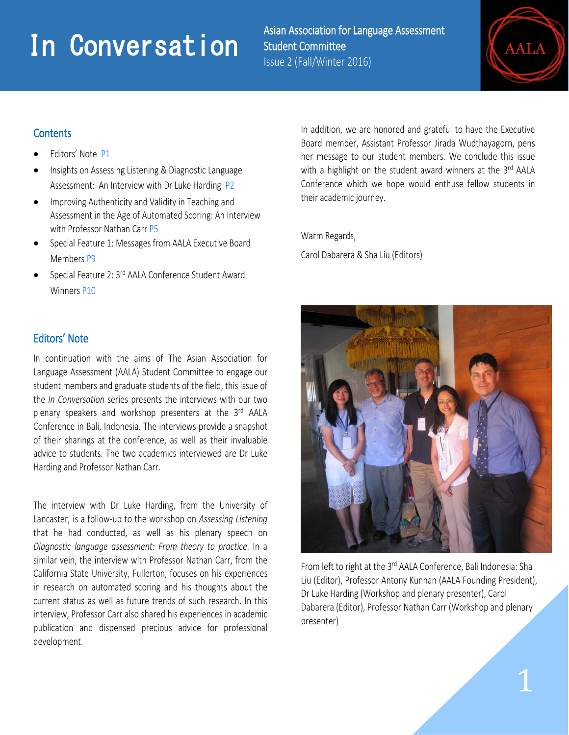# **In Conversation Conversation**<br> **In Conversation Conversation Student Committee**

Student Committee Issue 2 (Fall/Winter 2016)



# **Contents**

i<br>I

- Editors' Note P1
- Insights on Assessing Listening & Diagnostic Language Assessment: An Interview with Dr Luke Harding P2
- Improving Authenticity and Validity in Teaching and Assessment in the Age of Automated Scoring: An Interview with Professor Nathan Carr P5
- Special Feature 1: Messages from AALA Executive Board Members P9
- Special Feature 2: 3<sup>rd</sup> AALA Conference Student Award Winners P10

# Editors' Note

In continuation with the aims of The Asian Association for Language Assessment (AALA) Student Committee to engage our student members and graduate students of the field, this issue of the *In Conversation* series presents the interviews with our two plenary speakers and workshop presenters at the 3rd AALA Conference in Bali, Indonesia. The interviews provide a snapshot of their sharings at the conference, as well as their invaluable advice to students. The two academics interviewed are Dr Luke Harding and Professor Nathan Carr.

The interview with Dr Luke Harding, from the University of Lancaster, is a follow-up to the workshop on *Assessing Listening* that he had conducted, as well as his plenary speech on *Diagnostic language assessment: From theory to practice*. In a similar vein, the interview with Professor Nathan Carr, from the California State University, Fullerton, focuses on his experiences in research on automated scoring and his thoughts about the current status as well as future trends of such research. In this interview, Professor Carr also shared his experiences in academic publication and dispensed precious advice for professional development.

In addition, we are honored and grateful to have the Executive Board member, Assistant Professor Jirada Wudthayagorn, pens her message to our student members. We conclude this issue with a highlight on the student award winners at the 3rd AALA Conference which we hope would enthuse fellow students in their academic journey.

Warm Regards,

Carol Dabarera & Sha Liu (Editors)



From left to right at the 3<sup>rd</sup> AALA Conference, Bali Indonesia: Sha Liu (Editor), Professor Antony Kunnan (AALA Founding President), Dr Luke Harding (Workshop and plenary presenter), Carol Dabarera (Editor), Professor Nathan Carr (Workshop and plenary presenter)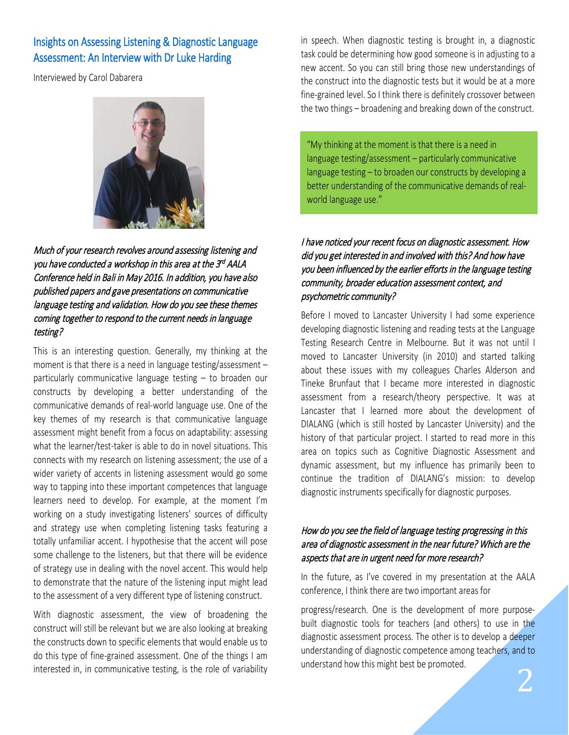# Insights on Assessing Listening & Diagnostic Language Assessment: An Interview with Dr Luke Harding

Interviewed by Carol Dabarera



Much of your research revolves around assessing listening and you have conducted a workshop in this area at the 3rd AALA Conference held in Bali in May 2016. In addition, you have also published papers and gave presentations on communicative language testing and validation. How do you see these themes coming together to respond to the current needs in language testing?

This is an interesting question. Generally, my thinking at the moment is that there is a need in language testing/assessment – particularly communicative language testing – to broaden our constructs by developing a better understanding of the communicative demands of real-world language use. One of the key themes of my research is that communicative language assessment might benefit from a focus on adaptability: assessing what the learner/test-taker is able to do in novel situations. This connects with my research on listening assessment; the use of a wider variety of accents in listening assessment would go some way to tapping into these important competences that language learners need to develop. For example, at the moment I'm working on a study investigating listeners' sources of difficulty and strategy use when completing listening tasks featuring a totally unfamiliar accent. I hypothesise that the accent will pose some challenge to the listeners, but that there will be evidence of strategy use in dealing with the novel accent. This would help to demonstrate that the nature of the listening input might lead to the assessment of a very different type of listening construct.

With diagnostic assessment, the view of broadening the construct will still be relevant but we are also looking at breaking the constructs down to specific elements that would enable us to do this type of fine-grained assessment. One of the things I am interested in, in communicative testing, is the role of variability in speech. When diagnostic testing is brought in, a diagnostic task could be determining how good someone is in adjusting to a new accent. So you can still bring those new understandings of the construct into the diagnostic tests but it would be at a more fine-grained level. So I think there is definitely crossover between the two things – broadening and breaking down of the construct.

"My thinking at the moment is that there is a need in language testing/assessment – particularly communicative language testing – to broaden our constructs by developing a better understanding of the communicative demands of realworld language use."

# I have noticed your recent focus on diagnostic assessment. How did you get interested in and involved with this? And how have you been influenced by the earlier efforts in the language testing community, broader education assessment context, and psychometric community?

Before I moved to Lancaster University I had some experience developing diagnostic listening and reading tests at the Language Testing Research Centre in Melbourne. But it was not until I moved to Lancaster University (in 2010) and started talking about these issues with my colleagues Charles Alderson and Tineke Brunfaut that I became more interested in diagnostic assessment from a research/theory perspective. It was at Lancaster that I learned more about the development of DIALANG (which is still hosted by Lancaster University) and the history of that particular project. I started to read more in this area on topics such as Cognitive Diagnostic Assessment and dynamic assessment, but my influence has primarily been to continue the tradition of DIALANG's mission: to develop diagnostic instruments specifically for diagnostic purposes.

## How do you see the field of language testing progressing in this area of diagnostic assessment in the near future? Which are the aspects that are in urgent need for more research?

In the future, as I've covered in my presentation at the AALA conference, I think there are two important areas for

progress/research. One is the development of more purposebuilt diagnostic tools for teachers (and others) to use in the diagnostic assessment process. The other is to develop a deeper understanding of diagnostic competence among teachers, and to understand how this might best be promoted.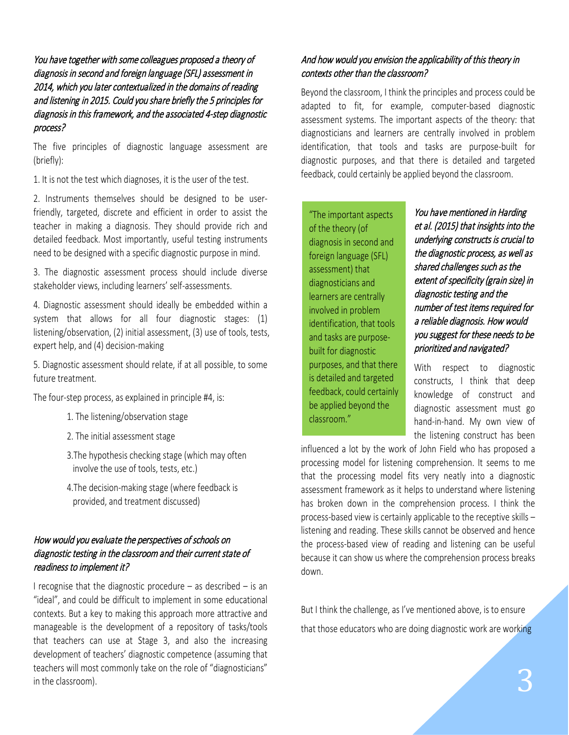You have together with some colleagues proposed a theory of diagnosis in second and foreign language (SFL) assessment in 2014, which you later contextualized in the domains of reading and listening in 2015. Could you share briefly the 5 principles for diagnosis in this framework, and the associated 4-step diagnostic process?

The five principles of diagnostic language assessment are (briefly):

1. It is not the test which diagnoses, it is the user of the test.

2. Instruments themselves should be designed to be userfriendly, targeted, discrete and efficient in order to assist the teacher in making a diagnosis. They should provide rich and detailed feedback. Most importantly, useful testing instruments need to be designed with a specific diagnostic purpose in mind.

3. The diagnostic assessment process should include diverse stakeholder views, including learners' self-assessments.

4. Diagnostic assessment should ideally be embedded within a system that allows for all four diagnostic stages: (1) listening/observation, (2) initial assessment, (3) use of tools, tests, expert help, and (4) decision-making

5. Diagnostic assessment should relate, if at all possible, to some future treatment.

The four-step process, as explained in principle #4, is:

- 1. The listening/observation stage
- 2. The initial assessment stage
- 3.The hypothesis checking stage (which may often involve the use of tools, tests, etc.)
- 4.The decision-making stage (where feedback is provided, and treatment discussed)

## How would you evaluate the perspectives of schools on diagnostic testing in the classroom and their current state of readiness to implement it?

I recognise that the diagnostic procedure – as described – is an "ideal", and could be difficult to implement in some educational contexts. But a key to making this approach more attractive and manageable is the development of a repository of tasks/tools that teachers can use at Stage 3, and also the increasing development of teachers' diagnostic competence (assuming that teachers will most commonly take on the role of "diagnosticians" in the classroom).

## And how would you envision the applicability of this theory in contexts other than the classroom?

Beyond the classroom, I think the principles and process could be adapted to fit, for example, computer-based diagnostic assessment systems. The important aspects of the theory: that diagnosticians and learners are centrally involved in problem identification, that tools and tasks are purpose-built for diagnostic purposes, and that there is detailed and targeted feedback, could certainly be applied beyond the classroom.

"The important aspects of the theory (of diagnosis in second and foreign language (SFL) assessment) that diagnosticians and learners are centrally involved in problem identification, that tools and tasks are purposebuilt for diagnostic purposes, and that there is detailed and targeted feedback, could certainly be applied beyond the classroom."

You have mentioned in Harding et al. (2015) that insights into the underlying constructs is crucial to the diagnostic process, as well as shared challenges such as the extent of specificity (grain size) in diagnostic testing and the number of test items required for a reliable diagnosis. How would you suggest for these needs to be prioritized and navigated?

With respect to diagnostic constructs, I think that deep knowledge of construct and diagnostic assessment must go hand-in-hand. My own view of the listening construct has been

influenced a lot by the work of John Field who has proposed a processing model for listening comprehension. It seems to me that the processing model fits very neatly into a diagnostic assessment framework as it helps to understand where listening has broken down in the comprehension process. I think the process-based view is certainly applicable to the receptive skills – listening and reading. These skills cannot be observed and hence the process-based view of reading and listening can be useful because it can show us where the comprehension process breaks down.

But I think the challenge, as I've mentioned above, is to ensure that those educators who are doing diagnostic work are working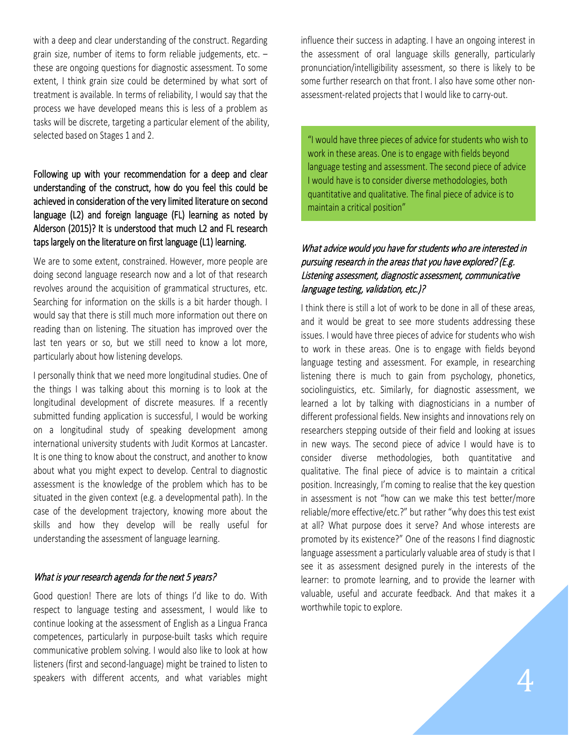with a deep and clear understanding of the construct. Regarding grain size, number of items to form reliable judgements, etc. – these are ongoing questions for diagnostic assessment. To some extent, I think grain size could be determined by what sort of treatment is available. In terms of reliability, I would say that the process we have developed means this is less of a problem as tasks will be discrete, targeting a particular element of the ability, selected based on Stages 1 and 2.

# Following up with your recommendation for a deep and clear understanding of the construct, how do you feel this could be achieved in consideration of the very limited literature on second language (L2) and foreign language (FL) learning as noted by Alderson (2015)? It is understood that much L2 and FL research taps largely on the literature on first language (L1) learning.

We are to some extent, constrained. However, more people are doing second language research now and a lot of that research revolves around the acquisition of grammatical structures, etc. Searching for information on the skills is a bit harder though. I would say that there is still much more information out there on reading than on listening. The situation has improved over the last ten years or so, but we still need to know a lot more, particularly about how listening develops.

I personally think that we need more longitudinal studies. One of the things I was talking about this morning is to look at the longitudinal development of discrete measures. If a recently submitted funding application is successful, I would be working on a longitudinal study of speaking development among international university students with Judit Kormos at Lancaster. It is one thing to know about the construct, and another to know about what you might expect to develop. Central to diagnostic assessment is the knowledge of the problem which has to be situated in the given context (e.g. a developmental path). In the case of the development trajectory, knowing more about the skills and how they develop will be really useful for understanding the assessment of language learning.

## What is your research agenda for the next 5 years?

Good question! There are lots of things I'd like to do. With respect to language testing and assessment, I would like to continue looking at the assessment of English as a Lingua Franca competences, particularly in purpose-built tasks which require communicative problem solving. I would also like to look at how listeners (first and second-language) might be trained to listen to speakers with different accents, and what variables might influence their success in adapting. I have an ongoing interest in the assessment of oral language skills generally, particularly pronunciation/intelligibility assessment, so there is likely to be some further research on that front. I also have some other nonassessment-related projects that I would like to carry-out.

"I would have three pieces of advice for students who wish to work in these areas. One is to engage with fields beyond language testing and assessment. The second piece of advice I would have is to consider diverse methodologies, both quantitative and qualitative. The final piece of advice is to maintain a critical position"

## What advice would you have for students who are interested in pursuing research in the areas that you have explored? (E.g. Listening assessment, diagnostic assessment, communicative language testing, validation, etc.)?

I think there is still a lot of work to be done in all of these areas, and it would be great to see more students addressing these issues. I would have three pieces of advice for students who wish to work in these areas. One is to engage with fields beyond language testing and assessment. For example, in researching listening there is much to gain from psychology, phonetics, sociolinguistics, etc. Similarly, for diagnostic assessment, we learned a lot by talking with diagnosticians in a number of different professional fields. New insights and innovations rely on researchers stepping outside of their field and looking at issues in new ways. The second piece of advice I would have is to consider diverse methodologies, both quantitative and qualitative. The final piece of advice is to maintain a critical position. Increasingly, I'm coming to realise that the key question in assessment is not "how can we make this test better/more reliable/more effective/etc.?" but rather "why does this test exist at all? What purpose does it serve? And whose interests are promoted by its existence?" One of the reasons I find diagnostic language assessment a particularly valuable area of study is that I see it as assessment designed purely in the interests of the learner: to promote learning, and to provide the learner with valuable, useful and accurate feedback. And that makes it a worthwhile topic to explore.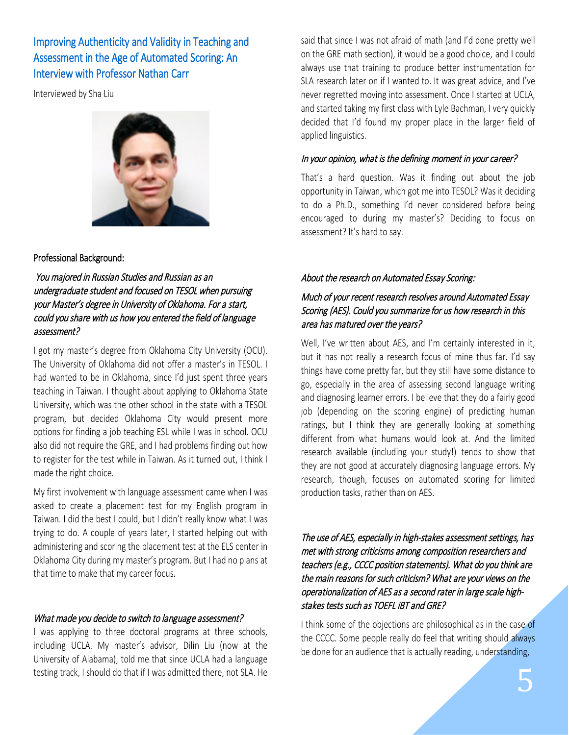# Improving Authenticity and Validity in Teaching and Assessment in the Age of Automated Scoring: An Interview with Professor Nathan Carr

Interviewed by Sha Liu



#### Professional Background:

 You majored in Russian Studies and Russian as an undergraduate student and focused on TESOL when pursuing your Master's degree in University of Oklahoma. For a start, could you share with us how you entered the field of language assessment?

I got my master's degree from Oklahoma City University (OCU). The University of Oklahoma did not offer a master's in TESOL. I had wanted to be in Oklahoma, since I'd just spent three years teaching in Taiwan. I thought about applying to Oklahoma State University, which was the other school in the state with a TESOL program, but decided Oklahoma City would present more options for finding a job teaching ESL while I was in school. OCU also did not require the GRE, and I had problems finding out how to register for the test while in Taiwan. As it turned out, I think I made the right choice.

My first involvement with language assessment came when I was asked to create a placement test for my English program in Taiwan. I did the best I could, but I didn't really know what I was trying to do. A couple of years later, I started helping out with administering and scoring the placement test at the ELS center in Oklahoma City during my master's program. But I had no plans at that time to make that my career focus*.*

#### What made you decide to switch to language assessment?

I was applying to three doctoral programs at three schools, including UCLA. My master's advisor, Dilin Liu (now at the University of Alabama), told me that since UCLA had a language testing track, I should do that if I was admitted there, not SLA. He

said that since I was not afraid of math (and I'd done pretty well on the GRE math section), it would be a good choice, and I could always use that training to produce better instrumentation for SLA research later on if I wanted to. It was great advice, and I've never regretted moving into assessment. Once I started at UCLA, and started taking my first class with Lyle Bachman, I very quickly decided that I'd found my proper place in the larger field of applied linguistics.

#### In your opinion, what is the defining moment in your career?

That's a hard question. Was it finding out about the job opportunity in Taiwan, which got me into TESOL? Was it deciding to do a Ph.D., something I'd never considered before being encouraged to during my master's? Deciding to focus on assessment? It's hard to say.

#### About the research on Automated Essay Scoring:

## Much of your recent research resolves around Automated Essay Scoring (AES). Could you summarize for us how research in this area has matured over the years?

Well, I've written about AES, and I'm certainly interested in it, but it has not really a research focus of mine thus far. I'd say things have come pretty far, but they still have some distance to go, especially in the area of assessing second language writing and diagnosing learner errors. I believe that they do a fairly good job (depending on the scoring engine) of predicting human ratings, but I think they are generally looking at something different from what humans would look at. And the limited research available (including your study!) tends to show that they are not good at accurately diagnosing language errors. My research, though, focuses on automated scoring for limited production tasks, rather than on AES.

The use of AES, especially in high-stakes assessment settings, has met with strong criticisms among composition researchers and teachers (e.g., CCCC position statements). What do you think are the main reasons for such criticism? What are your views on the operationalization of AES as a second rater in large scale highstakes tests such as TOEFL iBT and GRE?

I think some of the objections are philosophical as in the case of the CCCC. Some people really do feel that writing should always be done for an audience that is actually reading, understanding,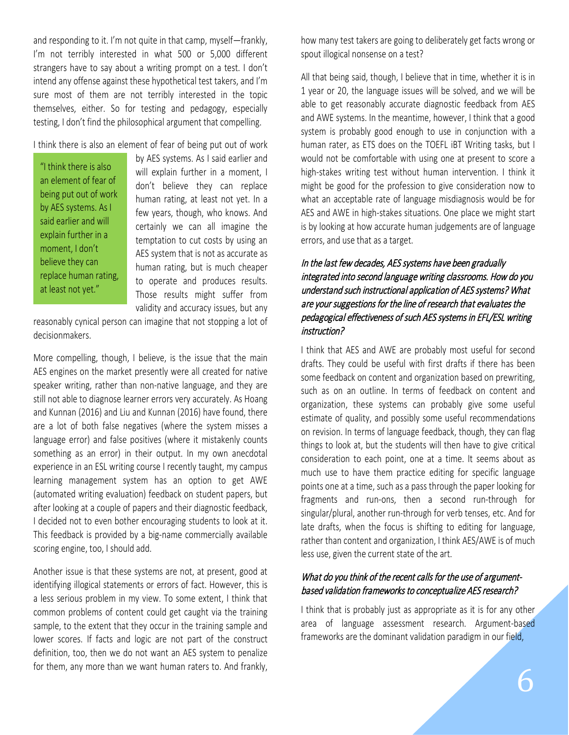and responding to it. I'm not quite in that camp, myself—frankly, I'm not terribly interested in what 500 or 5,000 different strangers have to say about a writing prompt on a test. I don't intend any offense against these hypothetical test takers, and I'm sure most of them are not terribly interested in the topic themselves, either. So for testing and pedagogy, especially testing, I don't find the philosophical argument that compelling.

I think there is also an element of fear of being put out of work

"I think there is also an element of fear of being put out of work by AES systems. As I said earlier and will explain further in a moment, I don't believe they can replace human rating, at least not yet."

by AES systems. As I said earlier and will explain further in a moment, I don't believe they can replace human rating, at least not yet. In a few years, though, who knows. And certainly we can all imagine the temptation to cut costs by using an AES system that is not as accurate as human rating, but is much cheaper to operate and produces results. Those results might suffer from validity and accuracy issues, but any

reasonably cynical person can imagine that not stopping a lot of decisionmakers.

More compelling, though, I believe, is the issue that the main AES engines on the market presently were all created for native speaker writing, rather than non-native language, and they are still not able to diagnose learner errors very accurately. As Hoang and Kunnan (2016) and Liu and Kunnan (2016) have found, there are a lot of both false negatives (where the system misses a language error) and false positives (where it mistakenly counts something as an error) in their output. In my own anecdotal experience in an ESL writing course I recently taught, my campus learning management system has an option to get AWE (automated writing evaluation) feedback on student papers, but after looking at a couple of papers and their diagnostic feedback, I decided not to even bother encouraging students to look at it. This feedback is provided by a big-name commercially available scoring engine, too, I should add.

Another issue is that these systems are not, at present, good at identifying illogical statements or errors of fact. However, this is a less serious problem in my view. To some extent, I think that common problems of content could get caught via the training sample, to the extent that they occur in the training sample and lower scores. If facts and logic are not part of the construct definition, too, then we do not want an AES system to penalize for them, any more than we want human raters to. And frankly,

how many test takers are going to deliberately get facts wrong or spout illogical nonsense on a test?

All that being said, though, I believe that in time, whether it is in 1 year or 20, the language issues will be solved, and we will be able to get reasonably accurate diagnostic feedback from AES and AWE systems. In the meantime, however, I think that a good system is probably good enough to use in conjunction with a human rater, as ETS does on the TOEFL iBT Writing tasks, but I would not be comfortable with using one at present to score a high-stakes writing test without human intervention. I think it might be good for the profession to give consideration now to what an acceptable rate of language misdiagnosis would be for AES and AWE in high-stakes situations. One place we might start is by looking at how accurate human judgements are of language errors, and use that as a target.

# In the last few decades, AES systems have been gradually integrated into second language writing classrooms. How do you understand such instructional application of AES systems? What are your suggestions for the line of research that evaluates the pedagogical effectiveness of such AES systems in EFL/ESL writing instruction?

I think that AES and AWE are probably most useful for second drafts. They could be useful with first drafts if there has been some feedback on content and organization based on prewriting, such as on an outline. In terms of feedback on content and organization, these systems can probably give some useful estimate of quality, and possibly some useful recommendations on revision. In terms of language feedback, though, they can flag things to look at, but the students will then have to give critical consideration to each point, one at a time. It seems about as much use to have them practice editing for specific language points one at a time, such as a pass through the paper looking for fragments and run-ons, then a second run-through for singular/plural, another run-through for verb tenses, etc. And for late drafts, when the focus is shifting to editing for language, rather than content and organization, I think AES/AWE is of much less use, given the current state of the art.

# What do you think of the recent calls for the use of argumentbased validation frameworks to conceptualize AES research?

I think that is probably just as appropriate as it is for any other area of language assessment research. Argument-based frameworks are the dominant validation paradigm in our field,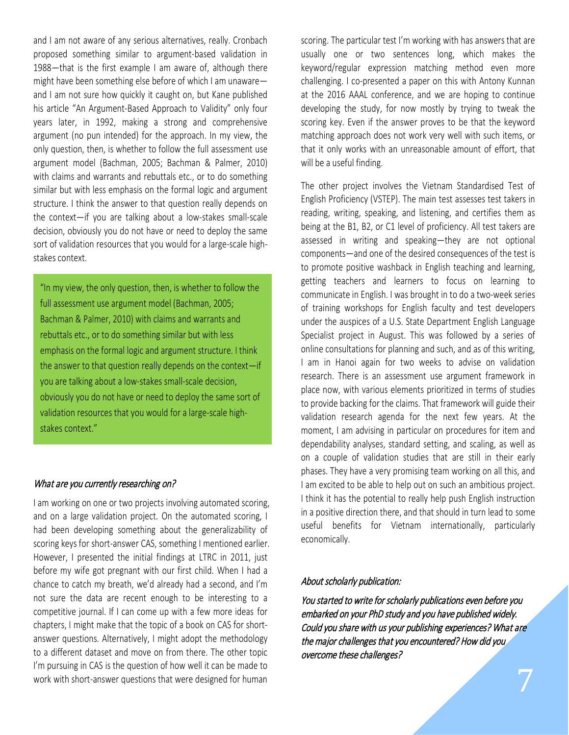and I am not aware of any serious alternatives, really. Cronbach proposed something similar to argument-based validation in 1988—that is the first example I am aware of, although there might have been something else before of which I am unaware and I am not sure how quickly it caught on, but Kane published his article "An Argument-Based Approach to Validity" only four years later, in 1992, making a strong and comprehensive argument (no pun intended) for the approach. In my view, the only question, then, is whether to follow the full assessment use argument model (Bachman, 2005; Bachman & Palmer, 2010) with claims and warrants and rebuttals etc., or to do something similar but with less emphasis on the formal logic and argument structure. I think the answer to that question really depends on the context—if you are talking about a low-stakes small-scale decision, obviously you do not have or need to deploy the same sort of validation resources that you would for a large-scale highstakes context.

"In my view, the only question, then, is whether to follow the full assessment use argument model (Bachman, 2005; Bachman & Palmer, 2010) with claims and warrants and rebuttals etc., or to do something similar but with less emphasis on the formal logic and argument structure. I think the answer to that question really depends on the context—if you are talking about a low-stakes small-scale decision, obviously you do not have or need to deploy the same sort of validation resources that you would for a large-scale highstakes context."

#### What are you currently researching on?

I am working on one or two projects involving automated scoring, and on a large validation project. On the automated scoring, I had been developing something about the generalizability of scoring keys for short-answer CAS, something I mentioned earlier. However, I presented the initial findings at LTRC in 2011, just before my wife got pregnant with our first child. When I had a chance to catch my breath, we'd already had a second, and I'm not sure the data are recent enough to be interesting to a competitive journal. If I can come up with a few more ideas for chapters, I might make that the topic of a book on CAS for shortanswer questions. Alternatively, I might adopt the methodology to a different dataset and move on from there. The other topic I'm pursuing in CAS is the question of how well it can be made to work with short-answer questions that were designed for human

scoring. The particular test I'm working with has answers that are usually one or two sentences long, which makes the keyword/regular expression matching method even more challenging. I co-presented a paper on this with Antony Kunnan at the 2016 AAAL conference, and we are hoping to continue developing the study, for now mostly by trying to tweak the scoring key. Even if the answer proves to be that the keyword matching approach does not work very well with such items, or that it only works with an unreasonable amount of effort, that will be a useful finding.

The other project involves the Vietnam Standardised Test of English Proficiency (VSTEP). The main test assesses test takers in reading, writing, speaking, and listening, and certifies them as being at the B1, B2, or C1 level of proficiency. All test takers are assessed in writing and speaking—they are not optional components—and one of the desired consequences of the test is to promote positive washback in English teaching and learning, getting teachers and learners to focus on learning to communicate in English. I was brought in to do a two-week series of training workshops for English faculty and test developers under the auspices of a U.S. State Department English Language Specialist project in August. This was followed by a series of online consultations for planning and such, and as of this writing, I am in Hanoi again for two weeks to advise on validation research. There is an assessment use argument framework in place now, with various elements prioritized in terms of studies to provide backing for the claims. That framework will guide their validation research agenda for the next few years. At the moment, I am advising in particular on procedures for item and dependability analyses, standard setting, and scaling, as well as on a couple of validation studies that are still in their early phases. They have a very promising team working on all this, and I am excited to be able to help out on such an ambitious project. I think it has the potential to really help push English instruction in a positive direction there, and that should in turn lead to some useful benefits for Vietnam internationally, particularly economically.

#### About scholarly publication:

You started to write for scholarly publications even before you embarked on your PhD study and you have published widely. Could you share with us your publishing experiences? What are the major challenges that you encountered? How did you overcome these challenges?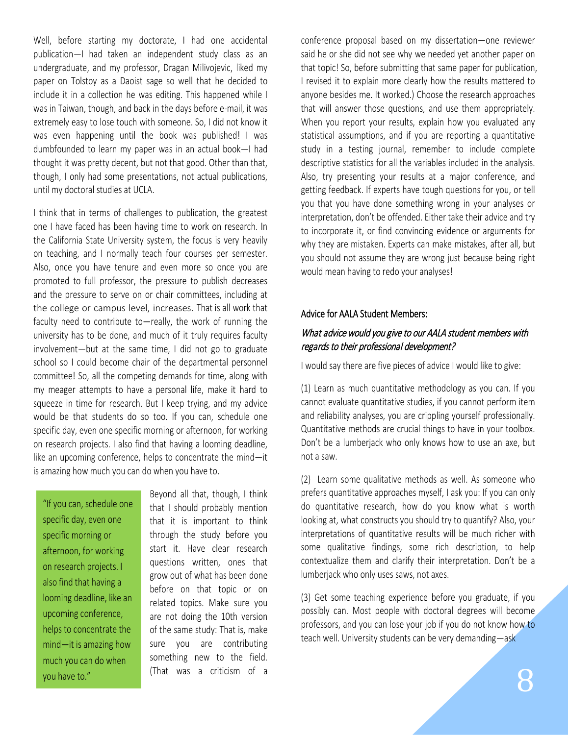Well, before starting my doctorate, I had one accidental publication—I had taken an independent study class as an undergraduate, and my professor, Dragan Milivojevic, liked my paper on Tolstoy as a Daoist sage so well that he decided to include it in a collection he was editing. This happened while I was in Taiwan, though, and back in the days before e-mail, it was extremely easy to lose touch with someone. So, I did not know it was even happening until the book was published! I was dumbfounded to learn my paper was in an actual book—I had thought it was pretty decent, but not that good. Other than that, though, I only had some presentations, not actual publications, until my doctoral studies at UCLA.

I think that in terms of challenges to publication, the greatest one I have faced has been having time to work on research. In the California State University system, the focus is very heavily on teaching, and I normally teach four courses per semester. Also, once you have tenure and even more so once you are promoted to full professor, the pressure to publish decreases and the pressure to serve on or chair committees, including at the college or campus level, increases. That is all work that faculty need to contribute to—really, the work of running the university has to be done, and much of it truly requires faculty involvement—but at the same time, I did not go to graduate school so I could become chair of the departmental personnel committee! So, all the competing demands for time, along with my meager attempts to have a personal life, make it hard to squeeze in time for research. But I keep trying, and my advice would be that students do so too. If you can, schedule one specific day, even one specific morning or afternoon, for working on research projects. I also find that having a looming deadline, like an upcoming conference, helps to concentrate the mind—it is amazing how much you can do when you have to.

"If you can, schedule one specific day, even one specific morning or afternoon, for working on research projects. I also find that having a looming deadline, like an upcoming conference, helps to concentrate the mind—it is amazing how much you can do when you have to."

Beyond all that, though, I think that I should probably mention that it is important to think through the study before you start it. Have clear research questions written, ones that grow out of what has been done before on that topic or on related topics. Make sure you are not doing the 10th version of the same study: That is, make sure you are contributing something new to the field. (That was a criticism of a

conference proposal based on my dissertation—one reviewer said he or she did not see why we needed yet another paper on that topic! So, before submitting that same paper for publication, I revised it to explain more clearly how the results mattered to anyone besides me. It worked.) Choose the research approaches that will answer those questions, and use them appropriately. When you report your results, explain how you evaluated any statistical assumptions, and if you are reporting a quantitative study in a testing journal, remember to include complete descriptive statistics for all the variables included in the analysis. Also, try presenting your results at a major conference, and getting feedback. If experts have tough questions for you, or tell you that you have done something wrong in your analyses or interpretation, don't be offended. Either take their advice and try to incorporate it, or find convincing evidence or arguments for why they are mistaken. Experts can make mistakes, after all, but you should not assume they are wrong just because being right would mean having to redo your analyses!

#### Advice for AALA Student Members:

## What advice would you give to our AALA student members with regards to their professional development?

I would say there are five pieces of advice I would like to give:

(1) Learn as much quantitative methodology as you can. If you cannot evaluate quantitative studies, if you cannot perform item and reliability analyses, you are crippling yourself professionally. Quantitative methods are crucial things to have in your toolbox. Don't be a lumberjack who only knows how to use an axe, but not a saw.

(2) Learn some qualitative methods as well. As someone who prefers quantitative approaches myself, I ask you: If you can only do quantitative research, how do you know what is worth looking at, what constructs you should try to quantify? Also, your interpretations of quantitative results will be much richer with some qualitative findings, some rich description, to help contextualize them and clarify their interpretation. Don't be a lumberjack who only uses saws, not axes.

(3) Get some teaching experience before you graduate, if you possibly can. Most people with doctoral degrees will become professors, and you can lose your job if you do not know how to teach well. University students can be very demanding-ask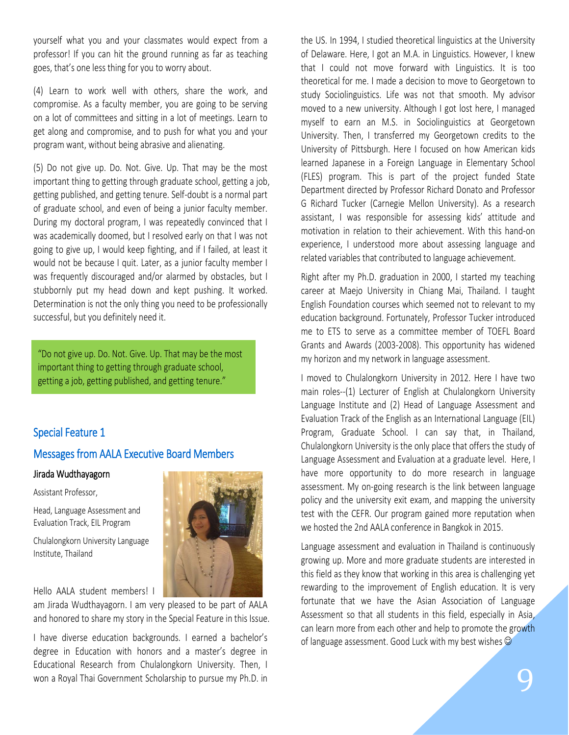yourself what you and your classmates would expect from a professor! If you can hit the ground running as far as teaching goes, that's one less thing for you to worry about.

(4) Learn to work well with others, share the work, and compromise. As a faculty member, you are going to be serving on a lot of committees and sitting in a lot of meetings. Learn to get along and compromise, and to push for what you and your program want, without being abrasive and alienating.

(5) Do not give up. Do. Not. Give. Up. That may be the most important thing to getting through graduate school, getting a job, getting published, and getting tenure. Self-doubt is a normal part of graduate school, and even of being a junior faculty member. During my doctoral program, I was repeatedly convinced that I was academically doomed, but I resolved early on that I was not going to give up, I would keep fighting, and if I failed, at least it would not be because I quit. Later, as a junior faculty member I was frequently discouraged and/or alarmed by obstacles, but I stubbornly put my head down and kept pushing. It worked. Determination is not the only thing you need to be professionally successful, but you definitely need it.

"Do not give up. Do. Not. Give. Up. That may be the most important thing to getting through graduate school, getting a job, getting published, and getting tenure."

# Special Feature 1

## Messages from AALA Executive Board Members

#### Jirada Wudthayagorn

Assistant Professor,

Head, Language Assessment and Evaluation Track, EIL Program

Chulalongkorn University Language Institute, Thailand

Hello AALA student members! I



am Jirada Wudthayagorn. I am very pleased to be part of AALA and honored to share my story in the Special Feature in this Issue.

I have diverse education backgrounds. I earned a bachelor's degree in Education with honors and a master's degree in Educational Research from Chulalongkorn University. Then, I won a Royal Thai Government Scholarship to pursue my Ph.D. in

the US. In 1994, I studied theoretical linguistics at the University of Delaware. Here, I got an M.A. in Linguistics. However, I knew that I could not move forward with Linguistics. It is too theoretical for me. I made a decision to move to Georgetown to study Sociolinguistics. Life was not that smooth. My advisor moved to a new university. Although I got lost here, I managed myself to earn an M.S. in Sociolinguistics at Georgetown University. Then, I transferred my Georgetown credits to the University of Pittsburgh. Here I focused on how American kids learned Japanese in a Foreign Language in Elementary School (FLES) program. This is part of the project funded State Department directed by Professor Richard Donato and Professor G Richard Tucker (Carnegie Mellon University). As a research assistant, I was responsible for assessing kids' attitude and motivation in relation to their achievement. With this hand-on experience, I understood more about assessing language and related variables that contributed to language achievement.

Right after my Ph.D. graduation in 2000, I started my teaching career at Maejo University in Chiang Mai, Thailand. I taught English Foundation courses which seemed not to relevant to my education background. Fortunately, Professor Tucker introduced me to ETS to serve as a committee member of TOEFL Board Grants and Awards (2003-2008). This opportunity has widened my horizon and my network in language assessment.

I moved to Chulalongkorn University in 2012. Here I have two main roles--(1) Lecturer of English at Chulalongkorn University Language Institute and (2) Head of Language Assessment and Evaluation Track of the English as an International Language (EIL) Program, Graduate School. I can say that, in Thailand, Chulalongkorn University is the only place that offers the study of Language Assessment and Evaluation at a graduate level. Here, I have more opportunity to do more research in language assessment. My on-going research is the link between language policy and the university exit exam, and mapping the university test with the CEFR. Our program gained more reputation when we hosted the 2nd AALA conference in Bangkok in 2015.

Language assessment and evaluation in Thailand is continuously growing up. More and more graduate students are interested in this field as they know that working in this area is challenging yet rewarding to the improvement of English education. It is very fortunate that we have the Asian Association of Language Assessment so that all students in this field, especially in Asia, can learn more from each other and help to promote the growth of language assessment. Good Luck with my best wishes  $\odot$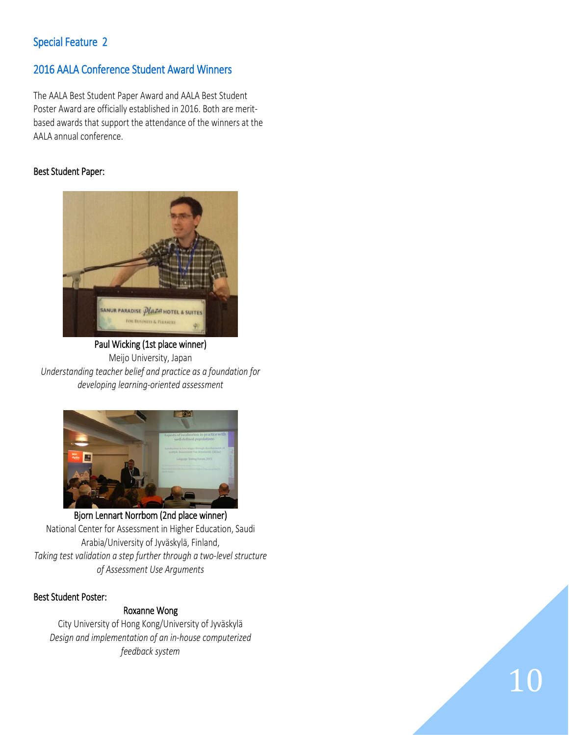# Special Feature 2

# 2016 AALA Conference Student Award Winners

The AALA Best Student Paper Award and AALA Best Student Poster Award are officially established in 2016. Both are meritbased awards that support the attendance of the winners at the AALA annual conference.

# Best Student Paper:



 Paul Wicking (1st place winner) Meijo University, Japan *Understanding teacher belief and practice as a foundation for developing learning-oriented assessment*



 Bjorn Lennart Norrbom (2nd place winner) National Center for Assessment in Higher Education, Saudi Arabia/University of Jyväskylä, Finland, *Taking test validation a step further through a two-level structure of Assessment Use Arguments*

## Best Student Poster:

## Roxanne Wong

City University of Hong Kong/University of Jyväskylä *Design and implementation of an in-house computerized feedback system*

10